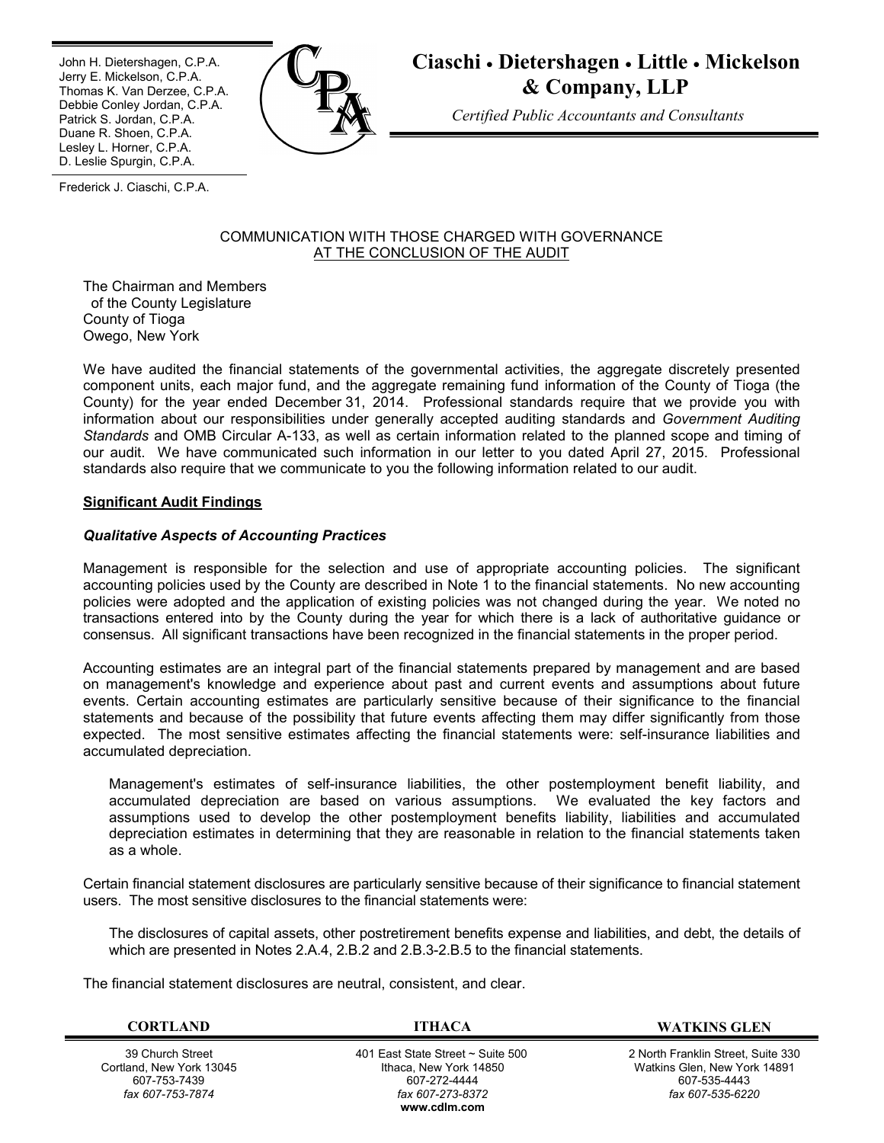Ī John H. Dietershagen, C.P.A. Jerry E. Mickelson, C.P.A. Thomas K. Van Derzee, C.P.A. Debbie Conley Jordan, C.P.A. Patrick S. Jordan, C.P.A. Duane R. Shoen, C.P.A. Lesley L. Horner, C.P.A. D. Leslie Spurgin, C.P.A.



# **Ciaschi Dietershagen Little Mickelson & Company, LLP**

*Certified Public Accountants and Consultants*

Frederick J. Ciaschi, C.P.A.

## COMMUNICATION WITH THOSE CHARGED WITH GOVERNANCE AT THE CONCLUSION OF THE AUDIT

The Chairman and Members of the County Legislature County of Tioga Owego, New York

We have audited the financial statements of the governmental activities, the aggregate discretely presented component units, each major fund, and the aggregate remaining fund information of the County of Tioga (the County) for the year ended December 31, 2014. Professional standards require that we provide you with information about our responsibilities under generally accepted auditing standards and *Government Auditing Standards* and OMB Circular A-133, as well as certain information related to the planned scope and timing of our audit. We have communicated such information in our letter to you dated April 27, 2015. Professional standards also require that we communicate to you the following information related to our audit.

# **Significant Audit Findings**

## *Qualitative Aspects of Accounting Practices*

Management is responsible for the selection and use of appropriate accounting policies. The significant accounting policies used by the County are described in Note 1 to the financial statements. No new accounting policies were adopted and the application of existing policies was not changed during the year. We noted no transactions entered into by the County during the year for which there is a lack of authoritative guidance or consensus. All significant transactions have been recognized in the financial statements in the proper period.

Accounting estimates are an integral part of the financial statements prepared by management and are based on management's knowledge and experience about past and current events and assumptions about future events. Certain accounting estimates are particularly sensitive because of their significance to the financial statements and because of the possibility that future events affecting them may differ significantly from those expected. The most sensitive estimates affecting the financial statements were: self-insurance liabilities and accumulated depreciation.

Management's estimates of self-insurance liabilities, the other postemployment benefit liability, and accumulated depreciation are based on various assumptions. We evaluated the key factors and assumptions used to develop the other postemployment benefits liability, liabilities and accumulated depreciation estimates in determining that they are reasonable in relation to the financial statements taken as a whole.

Certain financial statement disclosures are particularly sensitive because of their significance to financial statement users. The most sensitive disclosures to the financial statements were:

The disclosures of capital assets, other postretirement benefits expense and liabilities, and debt, the details of which are presented in Notes 2.A.4, 2.B.2 and 2.B.3-2.B.5 to the financial statements.

The financial statement disclosures are neutral, consistent, and clear.

39 Church Street Cortland, New York 13045 607-753-7439 *fax 607-753-7874*

 401 East State Street ~ Suite 500 Ithaca, New York 14850 607-272-4444 *fax 607-273-8372* **www.cdlm.com**

**CORTLAND ITHACA WATKINS GLEN**

2 North Franklin Street, Suite 330 Watkins Glen, New York 14891 607-535-4443 *fax 607-535-6220*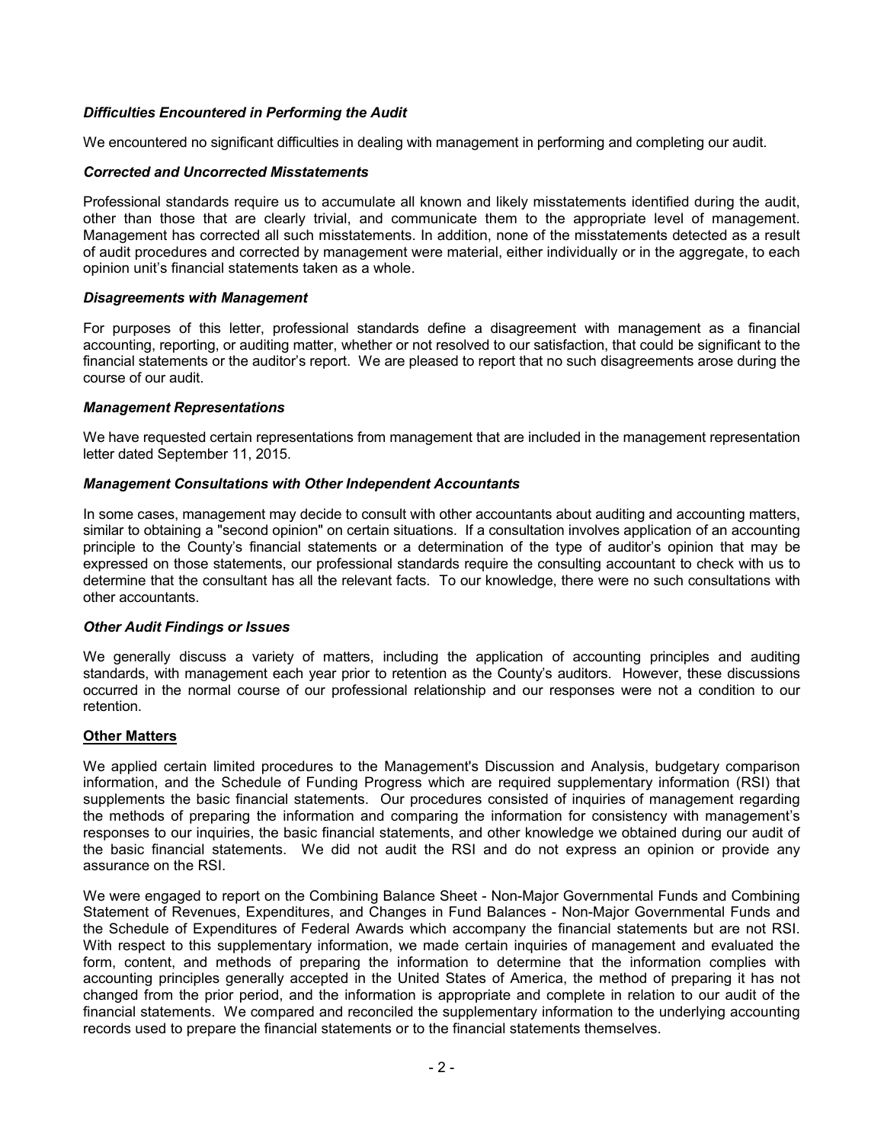## *Difficulties Encountered in Performing the Audit*

We encountered no significant difficulties in dealing with management in performing and completing our audit.

#### *Corrected and Uncorrected Misstatements*

Professional standards require us to accumulate all known and likely misstatements identified during the audit, other than those that are clearly trivial, and communicate them to the appropriate level of management. Management has corrected all such misstatements. In addition, none of the misstatements detected as a result of audit procedures and corrected by management were material, either individually or in the aggregate, to each opinion unit's financial statements taken as a whole.

#### *Disagreements with Management*

For purposes of this letter, professional standards define a disagreement with management as a financial accounting, reporting, or auditing matter, whether or not resolved to our satisfaction, that could be significant to the financial statements or the auditor's report. We are pleased to report that no such disagreements arose during the course of our audit.

#### *Management Representations*

We have requested certain representations from management that are included in the management representation letter dated September 11, 2015.

#### *Management Consultations with Other Independent Accountants*

In some cases, management may decide to consult with other accountants about auditing and accounting matters, similar to obtaining a "second opinion" on certain situations. If a consultation involves application of an accounting principle to the County's financial statements or a determination of the type of auditor's opinion that may be expressed on those statements, our professional standards require the consulting accountant to check with us to determine that the consultant has all the relevant facts. To our knowledge, there were no such consultations with other accountants.

## *Other Audit Findings or Issues*

We generally discuss a variety of matters, including the application of accounting principles and auditing standards, with management each year prior to retention as the County's auditors. However, these discussions occurred in the normal course of our professional relationship and our responses were not a condition to our retention.

## **Other Matters**

We applied certain limited procedures to the Management's Discussion and Analysis, budgetary comparison information, and the Schedule of Funding Progress which are required supplementary information (RSI) that supplements the basic financial statements. Our procedures consisted of inquiries of management regarding the methods of preparing the information and comparing the information for consistency with management's responses to our inquiries, the basic financial statements, and other knowledge we obtained during our audit of the basic financial statements. We did not audit the RSI and do not express an opinion or provide any assurance on the RSI.

We were engaged to report on the Combining Balance Sheet - Non-Major Governmental Funds and Combining Statement of Revenues, Expenditures, and Changes in Fund Balances - Non-Major Governmental Funds and the Schedule of Expenditures of Federal Awards which accompany the financial statements but are not RSI. With respect to this supplementary information, we made certain inquiries of management and evaluated the form, content, and methods of preparing the information to determine that the information complies with accounting principles generally accepted in the United States of America, the method of preparing it has not changed from the prior period, and the information is appropriate and complete in relation to our audit of the financial statements. We compared and reconciled the supplementary information to the underlying accounting records used to prepare the financial statements or to the financial statements themselves.